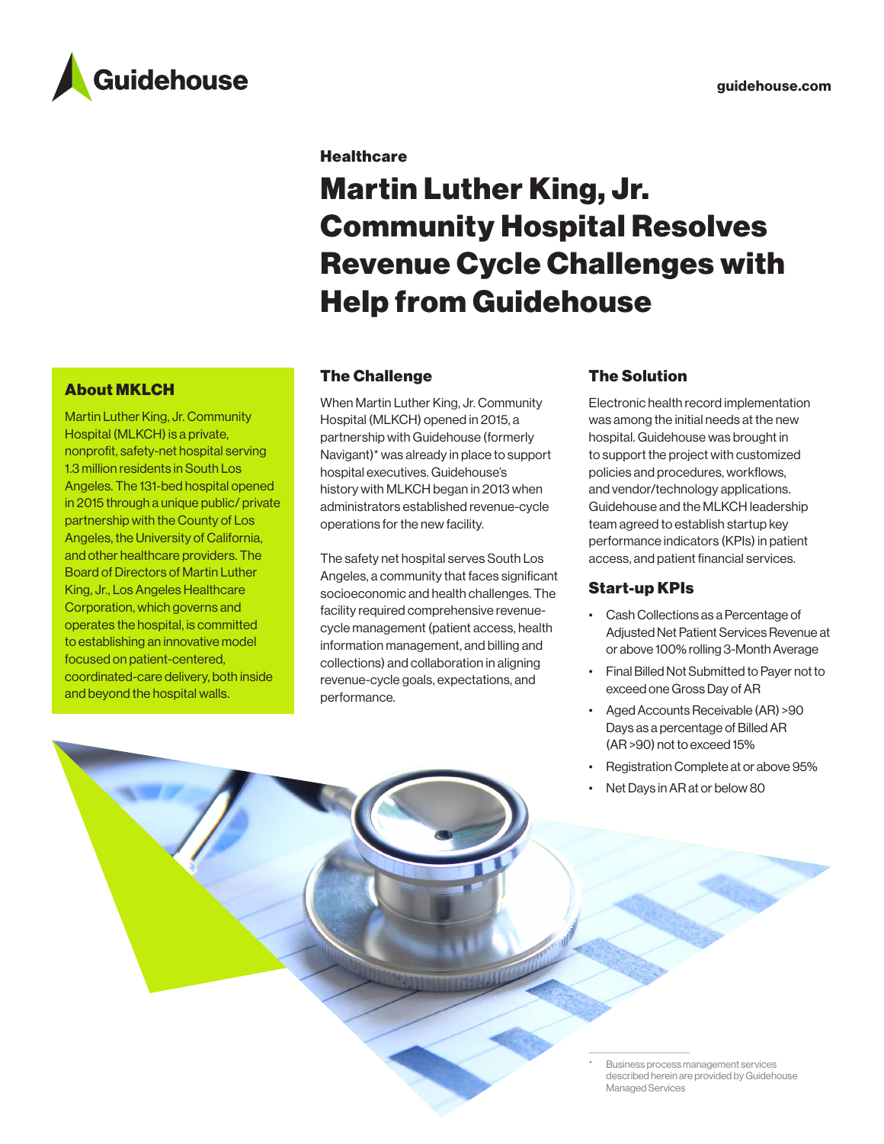

#### **Healthcare**

# Martin Luther King, Jr. Community Hospital Resolves Revenue Cycle Challenges with Help from Guidehouse

## The Challenge

When Martin Luther King, Jr. Community Hospital (MLKCH) opened in 2015, a partnership with Guidehouse (formerly Navigant)\* was already in place to support hospital executives. Guidehouse's history with MLKCH began in 2013 when administrators established revenue-cycle operations for the new facility.

The safety net hospital serves South Los Angeles, a community that faces significant socioeconomic and health challenges. The facility required comprehensive revenuecycle management (patient access, health information management, and billing and collections) and collaboration in aligning revenue-cycle goals, expectations, and performance.

### The Solution

Electronic health record implementation was among the initial needs at the new hospital. Guidehouse was brought in to support the project with customized policies and procedures, workflows, and vendor/technology applications. Guidehouse and the MLKCH leadership team agreed to establish startup key performance indicators (KPIs) in patient access, and patient financial services.

## Start-up KPIs

- Cash Collections as a Percentage of Adjusted Net Patient Services Revenue at or above 100% rolling 3-Month Average
- Final Billed Not Submitted to Payer not to exceed one Gross Day of AR
- Aged Accounts Receivable (AR) >90 Days as a percentage of Billed AR (AR >90) not to exceed 15%
- Registration Complete at or above 95%
- Net Days in AR at or below 80

About MKLCH

Martin Luther King, Jr. Community Hospital (MLKCH) is a private, nonprofit, safety-net hospital serving 1.3 million residents in South Los Angeles. The 131-bed hospital opened in 2015 through a unique public/ private partnership with the County of Los Angeles, the University of California, and other healthcare providers. The Board of Directors of Martin Luther King, Jr., Los Angeles Healthcare Corporation, which governs and operates the hospital, is committed to establishing an innovative model focused on patient-centered, coordinated-care delivery, both inside and beyond the hospital walls.

> Business process management services described herein are provided by Guidehouse Managed Services